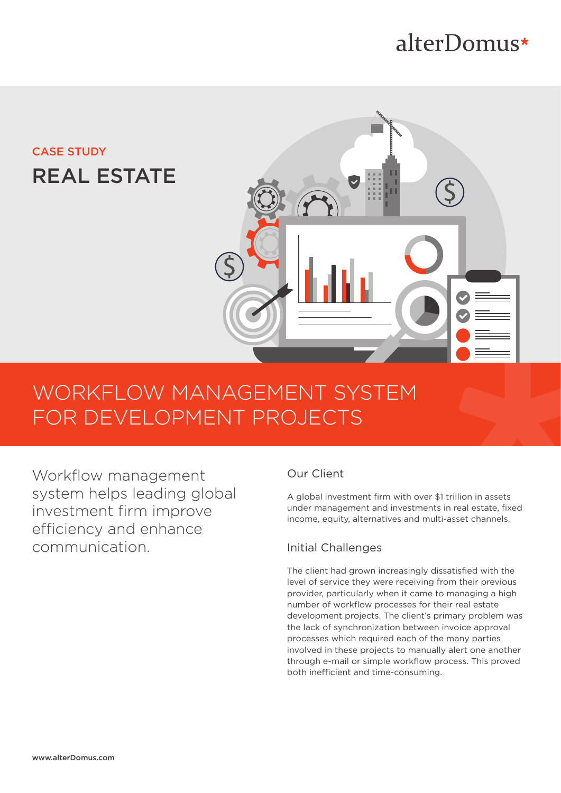# alterDomus\*

## CASE STUDY REAL ESTATE



# WORKFLOW MANAGEMENT SYSTEM FOR DEVELOPMENT PROJECTS

Workflow management system helps leading global investment firm improve efficiency and enhance communication.

## Our Client

A global investment firm with over \$1 trillion in assets under management and investments in real estate, fixed income, equity, alternatives and multi-asset channels.

## Initial Challenges

The client had grown increasingly dissatisfied with the level of service they were receiving from their previous provider, particularly when it came to managing a high number of workflow processes for their real estate development projects. The client's primary problem was the lack of synchronization between invoice approval processes which required each of the many parties involved in these projects to manually alert one another through e-mail or simple workflow process. This proved both inefficient and time-consuming.